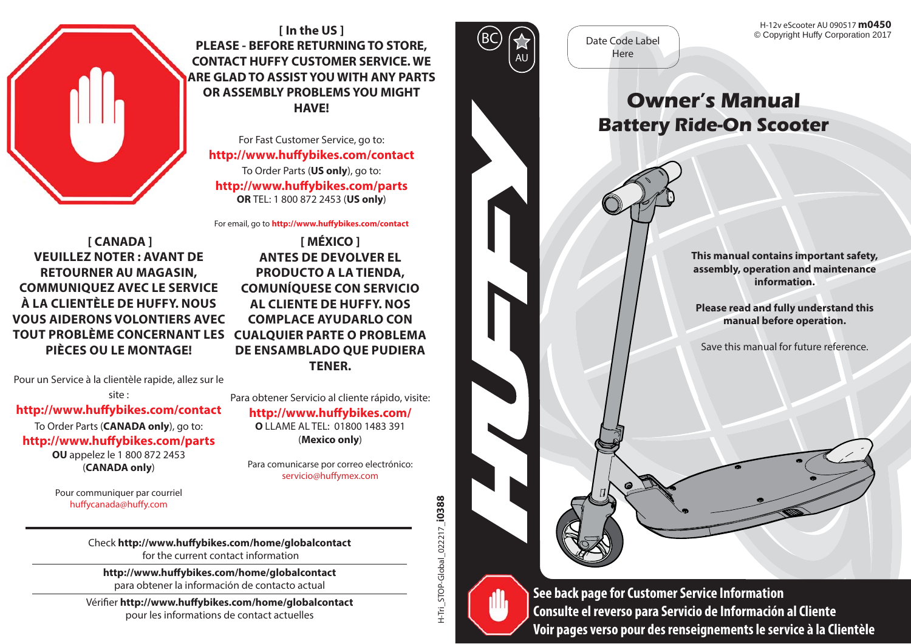

**[ In the US ] PLEASE - BEFORE RETURNING TO STORE, CONTACT HUFFY CUSTOMER SERVICE. WE ARE GLAD TO ASSIST YOU WITH ANY PARTS OR ASSEMBLY PROBLEMS YOU MIGHT HAVE!**

For Fast Customer Service, go to: **http://www.huff ybikes.com/contact** To Order Parts (**US only**), go to: **http://www.huff ybikes.com/parts OR** TEL: 1 800 872 2453 (**US only**)

For email, go to **http://www.huff ybikes.com/contact**

 **[ CANADA ] VEUILLEZ NOTER : AVANT DE RETOURNER AU MAGASIN, COMMUNIQUEZ AVEC LE SERVICE À LA CLIENTÈLE DE HUFFY. NOUS VOUS AIDERONS VOLONTIERS AVEC TOUT PROBLÈME CONCERNANT LES CUALQUIER PARTE O PROBLEMA PIÈCES OU LE MONTAGE!**

Pour un Service à la clientèle rapide, allez sur le

site :

#### **http://www.huff ybikes.com/contact**

To Order Parts (**CANADA only**), go to: http://www.huffvbikes.com/parts **OU** appelez le 1 800 872 2453 (**CANADA only**)

> Pour communiquer par courriel huffycanada@huffy.com

**[ MÉXICO ] ANTES DE DEVOLVER EL PRODUCTO A LA TIENDA, COMUNÍQUESE CON SERVICIO AL CLIENTE DE HUFFY. NOS COMPLACE AYUDARLO CON DE ENSAMBLADO QUE PUDIERA TENER.**

Para obtener Servicio al cliente rápido, visite: http://www.huffybikes.com/ **O** LLAME AL TEL: 01800 1483 391 (**Mexico only**)

Para comunicarse por correo electrónico: servicio@huffvmex.com



Date Code LabelHere

© Copyright Huffy Corporation 2017 H-12v eScooter AU 090517 **m0450**

# **Owner's ManualBattery Ride-On Scooter**

**This manual contains important safety, assembly, operation and maintenance information.**

**Please read and fully understand this manual before operation.**

Save this manual for future reference.

Check http://www.huffybikes.com/home/globalcontact<br>
for the current contact information<br>
Http://www.huffybikes.com/home/globalcontact<br>
para obtener la información de contacto actual<br>
Vérifier http://www.huffybikes.com/home **Voir pages verso pour des renseignements le service à la Clientèle**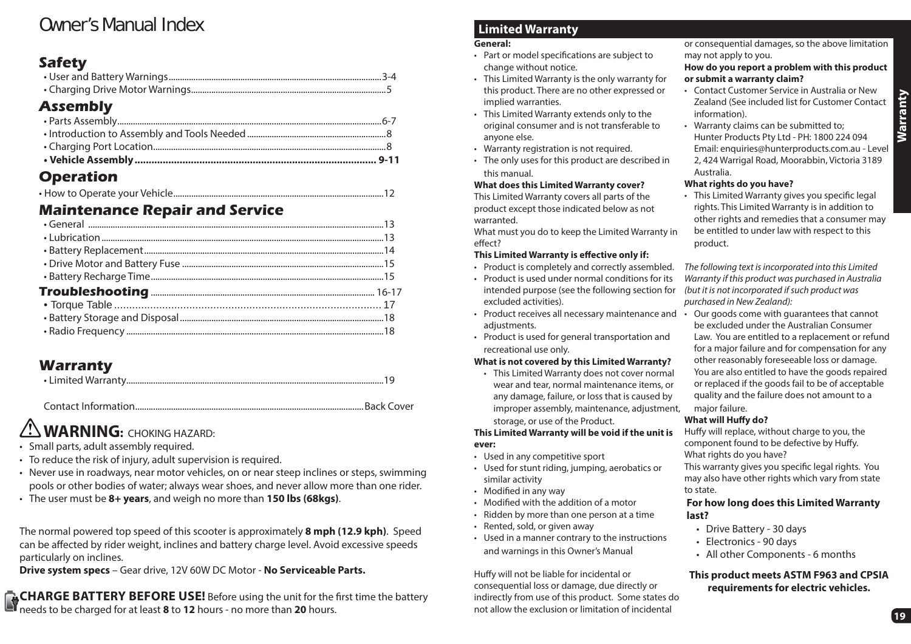# Owner's Manual Index

## **Safety**

## **Assembly**

## **Operation**

|--|--|--|--|

## **Maintenance Repair and Service**

## **Warranty**

|--|

Contact Information ......................................................................................................Back Cover**Back Cover** 

# **WARNING:** CHOKING HAZARD:

- Small parts, adult assembly required.
- To reduce the risk of injury, adult supervision is required.
- Never use in roadways, near motor vehicles, on or near steep inclines or steps, swimming pools or other bodies of water; always wear shoes, and never allow more than one rider.
- The user must be **8+ years**, and weigh no more than **150 lbs (68kgs)**.

The normal powered top speed of this scooter is approximately **8 mph (12.9 kph)**. Speed can be affected by rider weight, inclines and battery charge level. Avoid excessive speeds particularly on inclines.

**Drive system specs** – Gear drive, 12V 60W DC Motor - **No Serviceable Parts.**

**CHARGE BATTERY BEFORE USE!** Before using the unit for the first time the battery needs to be charged for at least **8** to **12** hours - no more than **20** hours.

## **Limited Warranty**

#### **General:**

- Part or model specifications are subject to change without notice.
- This Limited Warranty is the only warranty for this product. There are no other expressed or implied warranties.
- This Limited Warranty extends only to the original consumer and is not transferable to anyone else.
- Warranty registration is not required.
- The only uses for this product are described in this manual.

#### **What does this Limited Warranty cover?**

This Limited Warranty covers all parts of the product except those indicated below as not warranted.

What must you do to keep the Limited Warranty in effect?

#### **This Limited Warranty is effective only if:**

- Product is completely and correctly assembled.
- Product is used under normal conditions for its intended purpose (see the following section for excluded activities).
- Product receives all necessary maintenance and Our goods come with guarantees that cannot adiustments.
- Product is used for general transportation and recreational use only.

#### **What is not covered by this Limited Warranty?**

• This Limited Warranty does not cover normal wear and tear, normal maintenance items, or any damage, failure, or loss that is caused by improper assembly, maintenance, adjustment, storage, or use of the Product.

**This Limited Warranty will be void if the unit is ever:**

- Used in any competitive sport
- Used for stunt riding, jumping, aerobatics or similar activity
- Modified in any way
- $\cdot$  Modified with the addition of a motor
- Ridden by more than one person at a time
- Rented, sold, or given away
- Used in a manner contrary to the instructions and warnings in this Owner's Manual

Huffy will not be liable for incidental or consequential loss or damage, due directly or indirectly from use of this product. Some states do not allow the exclusion or limitation of incidental

or consequential damages, so the above limitation may not apply to you.

#### **How do you report a problem with this product or submit a warranty claim?**

- Contact Customer Service in Australia or New Zealand (See included list for Customer Contact information).
- Warranty claims can be submitted to; Hunter Products Pty Ltd - PH: 1800 224 094 Email: enquiries@hunterproducts.com.au - Level 2, 424 Warrigal Road, Moorabbin, Victoria 3189 Australia.

#### **What rights do you have?**

• This Limited Warranty gives you specific legal rights. This Limited Warranty is in addition to other rights and remedies that a consumer may be entitled to under law with respect to this product.

The following text is incorporated into this Limited Warranty if this product was purchased in Australia (but it is not incorporated if such product was purchased in New Zealand):

be excluded under the Australian Consumer Law. You are entitled to a replacement or refund for a major failure and for compensation for any other reasonably foreseeable loss or damage. You are also entitled to have the goods repaired or replaced if the goods fail to be of acceptable quality and the failure does not amount to a major failure.

#### **What will Huffy do?**

Huffy will replace, without charge to you, the component found to be defective by Huffy. What rights do you have?

This warranty gives you specific legal rights. You may also have other rights which vary from state to state.

#### **For how long does this Limited Warranty last?**

- Drive Battery 30 days
- Electronics 90 days
- All other Components 6 months

#### **This product meets ASTM F963 and CPSIA requirements for electric vehicles.**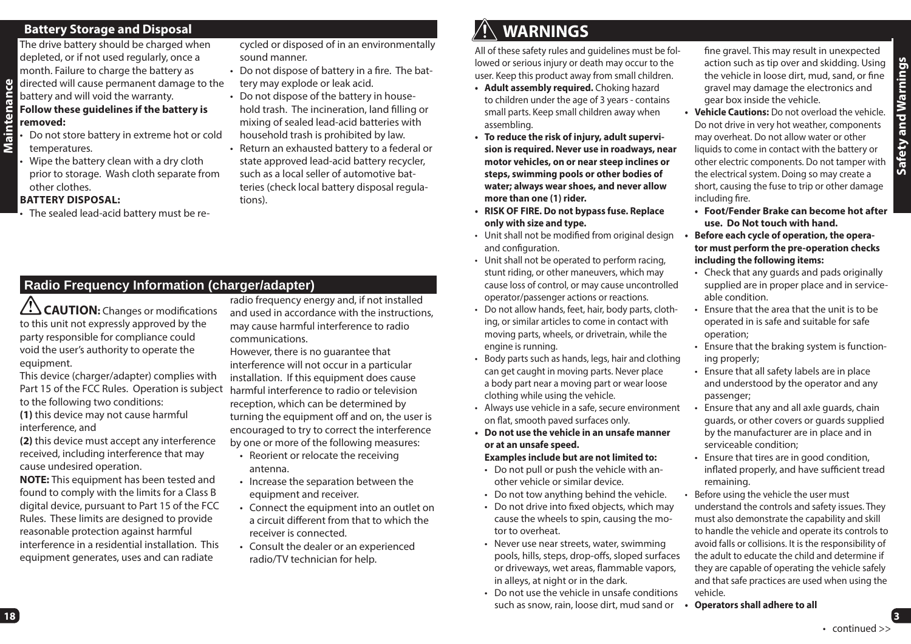#### **Battery Storage and Disposal** The drive battery should be charged when

battery and will void the warranty.

depleted, or if not used regularly, once a month. Failure to charge the battery as directed will cause permanent damage to the

**removed:**

• Do not store battery in extreme hot or cold temperatures.

**Follow these guidelines if the battery is** 

• Wipe the battery clean with a dry cloth prior to storage. Wash cloth separate from other clothes.

#### **BATTERY DISPOSAL:**

• The sealed lead-acid battery must be re-

cycled or disposed of in an environmentally sound manner.

- $\cdot$  Do not dispose of battery in a fire. The battery may explode or leak acid.
- Do not dispose of the battery in house hold trash. The incineration, land filling or<br>mixing of sealed lead-acid batteries with<br>household trash is prohibited by law.
- Return an exhausted battery to a federal or state approved lead-acid battery recycler, such as a local seller of automotive batteries (check local battery disposal regula tions).

## **Radio Frequency Information (charger/adapter)**

 $\angle$ **CAUTION:** Changes or modifications to this unit not expressly approved by the party responsible for compliance could void the user's authority to operate the equipment.

This device (charger/adapter) complies with Part 15 of the FCC Rules. Operation is subject to the following two conditions: **(1)** this device may not cause harmful

interference, and

**(2)** this device must accept any interference received, including interference that may cause undesired operation.

**NOTE:** This equipment has been tested and found to comply with the limits for a Class B digital device, pursuant to Part 15 of the FCC Rules. These limits are designed to provide reasonable protection against harmful interference in a residential installation. This equipment generates, uses and can radiate

radio frequency energy and, if not installed and used in accordance with the instructions, may cause harmful interference to radio communications.

However, there is no guarantee that interference will not occur in a particular installation. If this equipment does cause harmful interference to radio or television reception, which can be determined by turning the equipment off and on, the user is encouraged to try to correct the interference by one or more of the following measures:

- Reorient or relocate the receiving antenna.
- Increase the separation between the equipment and receiver.
- Connect the equipment into an outlet on a circuit different from that to which the receiver is connected.
- Consult the dealer or an experienced radio/TV technician for help.

# **WARNINGS**

All of these safety rules and guidelines must be followed or serious injury or death may occur to the user. Keep this product away from small children.

- **Adult assembly required.** Choking hazard to children under the age of 3 years - contains small parts. Keep small children away when assembling.
- **To reduce the risk of injury, adult supervision is required. Never use in roadways, near motor vehicles, on or near steep inclines or steps, swimming pools or other bodies of water; always wear shoes, and never allow more than one (1) rider.**
- **RISK OF FIRE. Do not bypass fuse. Replace only with size and type.**
- Unit shall not be modified from original design and configuration.
- Unit shall not be operated to perform racing, stunt riding, or other maneuvers, which may cause loss of control, or may cause uncontrolled operator/passenger actions or reactions.
- Do not allow hands, feet, hair, body parts, clothing, or similar articles to come in contact with moving parts, wheels, or drivetrain, while the engine is running.
- Body parts such as hands, legs, hair and clothing can get caught in moving parts. Never place a body part near a moving part or wear loose clothing while using the vehicle.
- Always use vehicle in a safe, secure environment on flat, smooth paved surfaces only.
- **Do not use the vehicle in an unsafe manner or at an unsafe speed.**

#### **Examples include but are not limited to:**

- Do not pull or push the vehicle with another vehicle or similar device.
- Do not tow anything behind the vehicle.
- Do not drive into fixed obiects, which may cause the wheels to spin, causing the motor to overheat.
- Never use near streets, water, swimming pools, hills, steps, drop-offs, sloped surfaces or driveways, wet areas, flammable vapors, in alleys, at night or in the dark.
- Do not use the vehicle in unsafe conditions such as snow, rain, loose dirt, mud sand or

fine gravel. This may result in unexpected action such as tip over and skidding. Using the vehicle in loose dirt, mud, sand, or fine gravel may damage the electronics and gear box inside the vehicle.

- **Vehicle Cautions:** Do not overload the vehicle. Do not drive in very hot weather, components may overheat. Do not allow water or other liquids to come in contact with the battery or other electric components. Do not tamper with the electrical system. Doing so may create a short, causing the fuse to trip or other damage including fire.
- **Foot/Fender Brake can become hot after use. Do Not touch with hand.**
- **Before each cycle of operation, the operator must perform the pre-operation checks including the following items:**
- Check that any guards and pads originally supplied are in proper place and in serviceable condition.
- Ensure that the area that the unit is to be operated in is safe and suitable for safe operation;
- Ensure that the braking system is functioning properly;
- Ensure that all safety labels are in place and understood by the operator and any passenger;
- Ensure that any and all axle guards, chain guards, or other covers or guards supplied by the manufacturer are in place and in serviceable condition;
- Ensure that tires are in good condition, inflated properly, and have sufficient tread remaining.
- Before using the vehicle the user must understand the controls and safety issues. They must also demonstrate the capability and skill to handle the vehicle and operate its controls to avoid falls or collisions. It is the responsibility of the adult to educate the child and determine if they are capable of operating the vehicle safely and that safe practices are used when using the vehicle.
- **Operators shall adhere to all**

**3**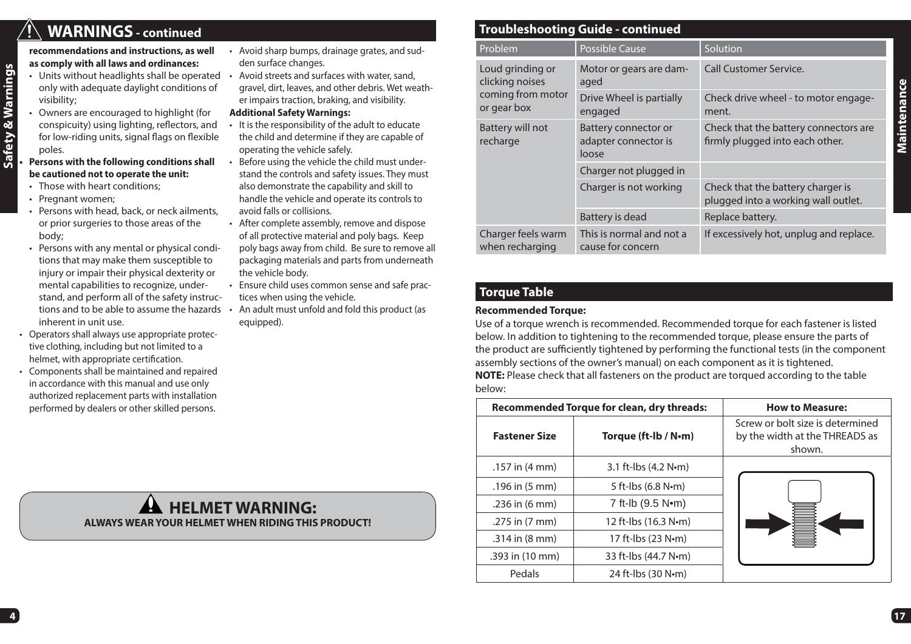## **WARNINGS - continued**

Safety & Warnings **Safety & Warnings**

**recommendations and instructions, as well as comply with all laws and ordinances:**

- Units without headlights shall be operated Avoid streets and surfaces with water, sand, only with adequate daylight conditions of visibility;
- Owners are encouraged to highlight (for conspicuity) using lighting, reflectors, and for low-riding units, signal flags on flexible poles.
- **Persons with the following conditions shall be cautioned not to operate the unit:**
- Those with heart conditions;
- Pregnant women;
- Persons with head, back, or neck ailments, or prior surgeries to those areas of the body;
- Persons with any mental or physical conditions that may make them susceptible to injury or impair their physical dexterity or mental capabilities to recognize, understand, and perform all of the safety instructions and to be able to assume the hazards inherent in unit use.
- Operators shall always use appropriate protective clothing, including but not limited to a helmet, with appropriate certification.
- Components shall be maintained and repaired in accordance with this manual and use only authorized replacement parts with installation performed by dealers or other skilled persons.

 **HELMET WARNING:ALWAYS WEAR YOUR HELMET WHEN RIDING THIS PRODUCT!**

- Avoid sharp bumps, drainage grates, and sudden surface changes.
- gravel, dirt, leaves, and other debris. Wet weather impairs traction, braking, and visibility.
- **Additional Safety Warnings:**
- It is the responsibility of the adult to educate the child and determine if they are capable of operating the vehicle safely.
- Before using the vehicle the child must understand the controls and safety issues. They must also demonstrate the capability and skill to handle the vehicle and operate its controls to avoid falls or collisions.
- After complete assembly, remove and dispose of all protective material and poly bags. Keep poly bags away from child. Be sure to remove all packaging materials and parts from underneath the vehicle body.
- Ensure child uses common sense and safe practices when using the vehicle.
- An adult must unfold and fold this product (as equipped).

## **Troubleshooting Guide - continued**

| Problem                                                                 | <b>Possible Cause</b>                                        | Solution                                                                 |
|-------------------------------------------------------------------------|--------------------------------------------------------------|--------------------------------------------------------------------------|
| Loud grinding or<br>clicking noises<br>coming from motor<br>or gear box | Motor or gears are dam-<br>aged                              | <b>Call Customer Service.</b>                                            |
|                                                                         | Drive Wheel is partially<br>engaged                          | Check drive wheel - to motor engage-<br>ment.                            |
| Battery will not<br>recharge                                            | <b>Battery connector or</b><br>adapter connector is<br>loose | Check that the battery connectors are<br>firmly plugged into each other. |
|                                                                         | Charger not plugged in                                       |                                                                          |
|                                                                         | Charger is not working                                       | Check that the battery charger is<br>plugged into a working wall outlet. |
|                                                                         | Battery is dead                                              | Replace battery.                                                         |
| Charger feels warm<br>when recharging                                   | This is normal and not a<br>cause for concern                | If excessively hot, unplug and replace.                                  |

## **Torque Table**

#### **Recommended Torque:**

Use of a torque wrench is recommended. Recommended torque for each fastener is listed below. In addition to tightening to the recommended torque, please ensure the parts of the product are sufficiently tightened by performing the functional tests (in the component assembly sections of the owner's manual) on each component as it is tightened. **NOTE:** Please check that all fasteners on the product are torqued according to the table below:

| <b>Recommended Torque for clean, dry threads:</b> |                        | <b>How to Measure:</b>                                                       |
|---------------------------------------------------|------------------------|------------------------------------------------------------------------------|
| <b>Fastener Size</b>                              | Torque (ft-lb / N·m)   | Screw or bolt size is determined<br>by the width at the THREADS as<br>shown. |
| .157 in $(4 \text{ mm})$                          | 3.1 ft-lbs $(4.2 N·m)$ |                                                                              |
| $.196$ in $(5 \text{ mm})$                        | 5 ft-lbs $(6.8 N·m)$   |                                                                              |
| $.236$ in (6 mm)                                  | 7 ft-lb (9.5 Nom)      |                                                                              |
| .275 in (7 mm)                                    | 12 ft-lbs (16.3 N·m)   |                                                                              |
| $.314$ in $(8 \text{ mm})$                        | 17 ft-lbs (23 N•m)     |                                                                              |
| .393 in (10 mm)                                   | 33 ft-lbs (44.7 N·m)   |                                                                              |
| Pedals                                            | 24 ft-lbs $(30 N·m)$   |                                                                              |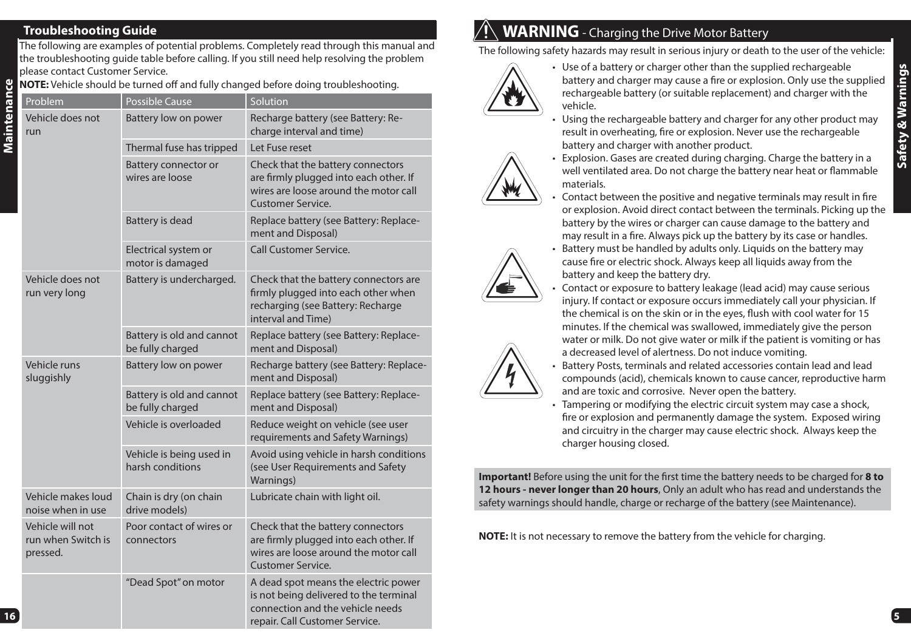## **Troubleshooting Guide**

The following are examples of potential problems. Completely read through this manual and the troubleshooting guide table before calling. If you still need help resolving the problem please contact Customer Service.

**NOTE:** Vehicle should be turned off and fully changed before doing troubleshooting.

| Problem                                            | <b>Possible Cause</b>                         | Solution                                                                                                                                             |
|----------------------------------------------------|-----------------------------------------------|------------------------------------------------------------------------------------------------------------------------------------------------------|
| Vehicle does not<br>run                            | Battery low on power                          | Recharge battery (see Battery: Re-<br>charge interval and time)                                                                                      |
|                                                    | Thermal fuse has tripped                      | Let Fuse reset                                                                                                                                       |
|                                                    | Battery connector or<br>wires are loose       | Check that the battery connectors<br>are firmly plugged into each other. If<br>wires are loose around the motor call<br><b>Customer Service.</b>     |
|                                                    | Battery is dead                               | Replace battery (see Battery: Replace-<br>ment and Disposal)                                                                                         |
|                                                    | Electrical system or<br>motor is damaged      | <b>Call Customer Service.</b>                                                                                                                        |
| Vehicle does not<br>run very long                  | Battery is undercharged.                      | Check that the battery connectors are<br>firmly plugged into each other when<br>recharging (see Battery: Recharge<br>interval and Time)              |
|                                                    | Battery is old and cannot<br>be fully charged | Replace battery (see Battery: Replace-<br>ment and Disposal)                                                                                         |
| Vehicle runs<br>sluggishly                         | Battery low on power                          | Recharge battery (see Battery: Replace-<br>ment and Disposal)                                                                                        |
|                                                    | Battery is old and cannot<br>be fully charged | Replace battery (see Battery: Replace-<br>ment and Disposal)                                                                                         |
|                                                    | Vehicle is overloaded                         | Reduce weight on vehicle (see user<br>requirements and Safety Warnings)                                                                              |
|                                                    | Vehicle is being used in<br>harsh conditions  | Avoid using vehicle in harsh conditions<br>(see User Requirements and Safety<br>Warnings)                                                            |
| Vehicle makes loud<br>noise when in use            | Chain is dry (on chain<br>drive models)       | Lubricate chain with light oil.                                                                                                                      |
| Vehicle will not<br>run when Switch is<br>pressed. | Poor contact of wires or<br>connectors        | Check that the battery connectors<br>are firmly plugged into each other. If<br>wires are loose around the motor call<br><b>Customer Service.</b>     |
|                                                    | "Dead Spot" on motor                          | A dead spot means the electric power<br>is not being delivered to the terminal<br>connection and the vehicle needs<br>repair. Call Customer Service. |

# $\mathcal{W}(\mathbb{N})$  **WARNING** - Charging the Drive Motor Battery

materials.

The following safety hazards may result in serious injury or death to the user of the vehicle:



- Use of a battery or charger other than the supplied rechargeable battery and charger may cause a fire or explosion. Only use the supplied rechargeable battery (or suitable replacement) and charger with the vehicle.
- Using the rechargeable battery and charger for any other product may result in overheating, fire or explosion. Never use the rechargeable battery and charger with another product. • Explosion. Gases are created during charging. Charge the battery in a

well ventilated area. Do not charge the battery near heat or flammable

Contact between the positive and negative terminals may result in fire or explosion. Avoid direct contact between the terminals. Picking up the battery by the wires or charger can cause damage to the battery and may result in a fire. Always pick up the battery by its case or handles.

- 
- 
- Battery must be handled by adults only. Liquids on the battery may cause fire or electric shock. Always keep all liquids away from the battery and keep the battery dry. • Contact or exposure to battery leakage (lead acid) may cause serious injury. If contact or exposure occurs immediately call your physician. If
- the chemical is on the skin or in the eyes, flush with cool water for 15 minutes. If the chemical was swallowed, immediately give the person water or milk. Do not give water or milk if the patient is vomiting or has a decreased level of alertness. Do not induce vomiting.



- Battery Posts, terminals and related accessories contain lead and lead compounds (acid), chemicals known to cause cancer, reproductive harm and are toxic and corrosive. Never open the battery.
- Tampering or modifying the electric circuit system may case a shock, fire or explosion and permanently damage the system. Exposed wiring and circuitry in the charger may cause electric shock. Always keep the charger housing closed.

**Important!** Before using the unit for the first time the battery needs to be charged for 8 to **12 hours - never longer than 20 hours**, Only an adult who has read and understands the safety warnings should handle, charge or recharge of the battery (see Maintenance).

**NOTE:** It is not necessary to remove the battery from the vehicle for charging.

**5**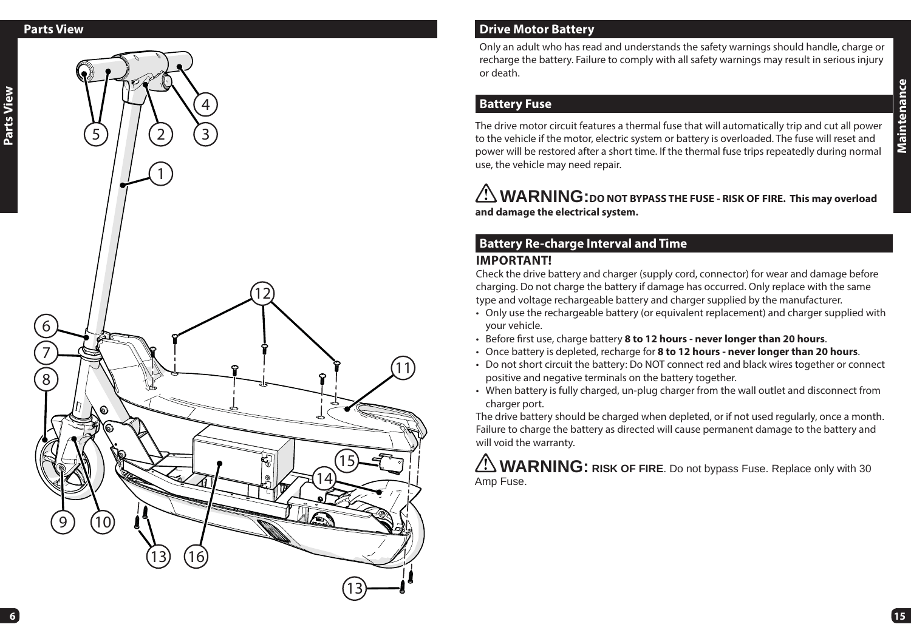#### **Parts View**

**Parts View**



## **Drive Motor Battery**

Only an adult who has read and understands the safety warnings should handle, charge or recharge the battery. Failure to comply with all safety warnings may result in serious injury or death.

### **Battery Fuse**

The drive motor circuit features a thermal fuse that will automatically trip and cut all power to the vehicle if the motor, electric system or battery is overloaded. The fuse will reset and power will be restored after a short time. If the thermal fuse trips repeatedly during normal use, the vehicle may need repair.

**WARNING:DO NOT BYPASS THE FUSE - RISK OF FIRE. This may overload and damage the electrical system.**

### **Battery Re-charge Interval and Time IMPORTANT!**

Check the drive battery and charger (supply cord, connector) for wear and damage before charging. Do not charge the battery if damage has occurred. Only replace with the same type and voltage rechargeable battery and charger supplied by the manufacturer.

- Only use the rechargeable battery (or equivalent replacement) and charger supplied with your vehicle.
- Before first use, charge battery 8 to 12 hours never longer than 20 hours.
- Once battery is depleted, recharge for **8 to 12 hours never longer than 20 hours**.
- Do not short circuit the battery: Do NOT connect red and black wires together or connect positive and negative terminals on the battery together.
- When battery is fully charged, un-plug charger from the wall outlet and disconnect from charger port.

The drive battery should be charged when depleted, or if not used regularly, once a month. Failure to charge the battery as directed will cause permanent damage to the battery and will void the warranty.

**WARNING: RISK OF FIRE**. Do not bypass Fuse. Replace only with 30 Amp Fuse.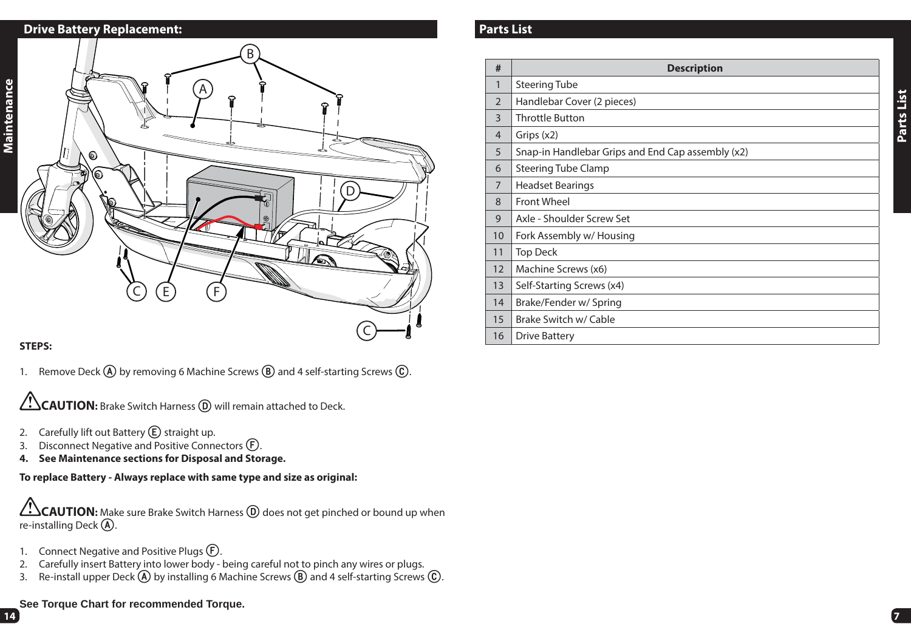## **Drive Battery Replacement:**



#### **STEPS:**

1. Remove Deck **A** by removing 6 Machine Screws **B** and 4 self-starting Screws **C**.

**CAUTION:** Brake Switch Harness **(D**) will remain attached to Deck.

- 2. Carefully lift out Battery **(E)** straight up.
- 3. Disconnect Negative and Positive Connectors **F**.
- **4. See Maintenance sections for Disposal and Storage.**

**To replace Battery - Always replace with same type and size as original:**

**CAUTION:** Make sure Brake Switch Harness **D** does not get pinched or bound up when re-installing Deck **A**.

- 1. Connect Negative and Positive Plugs **F**.
- 2. Carefully insert Battery into lower body being careful not to pinch any wires or plugs.
- 3. Re-install upper Deck **A** by installing 6 Machine Screws **B** and 4 self-starting Screws **C**.

### **See Torque Chart for recommended Torque.**

### **Parts List**

| #              | <b>Description</b>                                |
|----------------|---------------------------------------------------|
| $\mathbf{1}$   | <b>Steering Tube</b>                              |
| $\mathfrak{D}$ | Handlebar Cover (2 pieces)                        |
| 3              | <b>Throttle Button</b>                            |
| 4              | Grips $(x2)$                                      |
| 5              | Snap-in Handlebar Grips and End Cap assembly (x2) |
| 6              | <b>Steering Tube Clamp</b>                        |
| 7              | <b>Headset Bearings</b>                           |
| 8              | Front Wheel                                       |
| 9              | Axle - Shoulder Screw Set                         |
| 10             | Fork Assembly w/ Housing                          |
| 11             | <b>Top Deck</b>                                   |
| 12             | Machine Screws (x6)                               |
| 13             | Self-Starting Screws (x4)                         |
| 14             | Brake/Fender w/ Spring                            |
| 15             | Brake Switch w/ Cable                             |
| 16             | Drive Battery                                     |

**7** 

**Parts List**

Parts List

**14**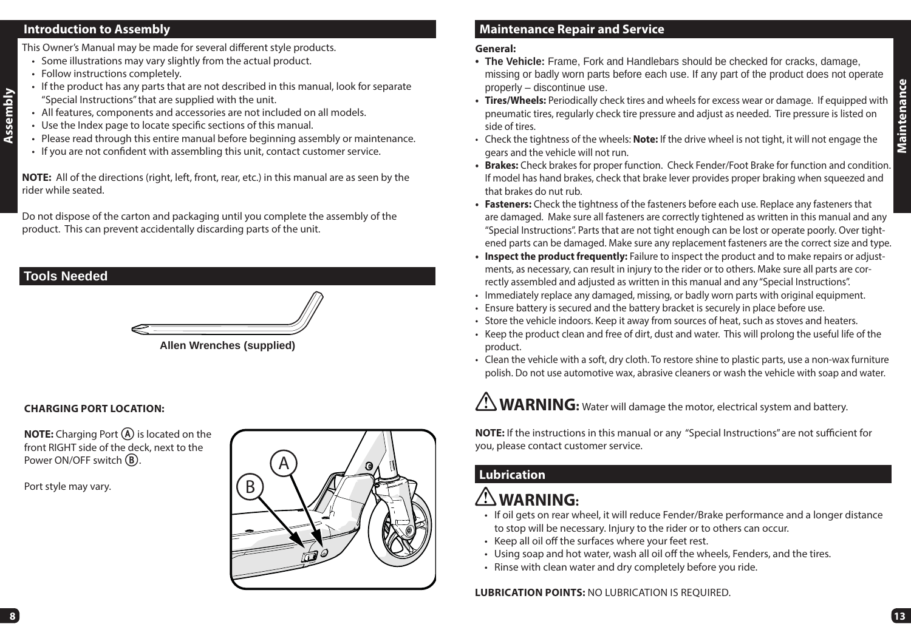#### **Introduction to Assembly**

This Owner's Manual may be made for several different style products.

- Some illustrations may vary slightly from the actual product.
- Follow instructions completely.
- If the product has any parts that are not described in this manual, look for separate "Special Instructions" that are supplied with the unit.
- All features, components and accessories are not included on all models.
- Use the Index page to locate specific sections of this manual.
- Please read through this entire manual before beginning assembly or maintenance.
- $\cdot$  If you are not confident with assembling this unit, contact customer service.

**NOTE:** All of the directions (right, left, front, rear, etc.) in this manual are as seen by the rider while seated.

Do not dispose of the carton and packaging until you complete the assembly of the product. This can prevent accidentally discarding parts of the unit.

## **Tools Needed**

**Assembly**



#### **Allen Wrenches (supplied)**

#### **CHARGING PORT LOCATION:**

**NOTE:** Charging Port **A** is located on the front RIGHT side of the deck, next to the Power ON/OFF switch **B**.

Port style may vary.



## **Maintenance Repair and Service**

#### **General:**

- **The Vehicle:** Frame, Fork and Handlebars should be checked for cracks, damage, missing or badly worn parts before each use. If any part of the product does not operate properly – discontinue use.
- **Tires/Wheels:** Periodically check tires and wheels for excess wear or damage. If equipped with pneumatic tires, regularly check tire pressure and adjust as needed. Tire pressure is listed on side of tires.
- Check the tightness of the wheels: **Note:** If the drive wheel is not tight, it will not engage the gears and the vehicle will not run.
- **Brakes:** Check brakes for proper function. Check Fender/Foot Brake for function and condition. If model has hand brakes, check that brake lever provides proper braking when squeezed and that brakes do nut rub.
- **Fasteners:** Check the tightness of the fasteners before each use. Replace any fasteners that are damaged. Make sure all fasteners are correctly tightened as written in this manual and any "Special Instructions". Parts that are not tight enough can be lost or operate poorly. Over tightened parts can be damaged. Make sure any replacement fasteners are the correct size and type.
- **Inspect the product frequently:** Failure to inspect the product and to make repairs or adjustments, as necessary, can result in injury to the rider or to others. Make sure all parts are correctly assembled and adjusted as written in this manual and any "Special Instructions".
- Immediately replace any damaged, missing, or badly worn parts with original equipment.
- Ensure battery is secured and the battery bracket is securely in place before use.
- Store the vehicle indoors. Keep it away from sources of heat, such as stoves and heaters.
- Keep the product clean and free of dirt, dust and water. This will prolong the useful life of the product.
- Clean the vehicle with a soft, dry cloth. To restore shine to plastic parts, use a non-wax furniture polish. Do not use automotive wax, abrasive cleaners or wash the vehicle with soap and water.

**WARNING:** Water will damage the motor, electrical system and battery.

**NOTE:** If the instructions in this manual or any "Special Instructions" are not sufficient for you, please contact customer service.

## **Lubrication**

# **WARNING:**

- If oil gets on rear wheel, it will reduce Fender/Brake performance and a longer distance to stop will be necessary. Injury to the rider or to others can occur.
- Keep all oil off the surfaces where your feet rest.
- Using soap and hot water, wash all oil off the wheels, Fenders, and the tires.
- Rinse with clean water and dry completely before you ride.

**LUBRICATION POINTS:** NO LUBRICATION IS REQUIRED.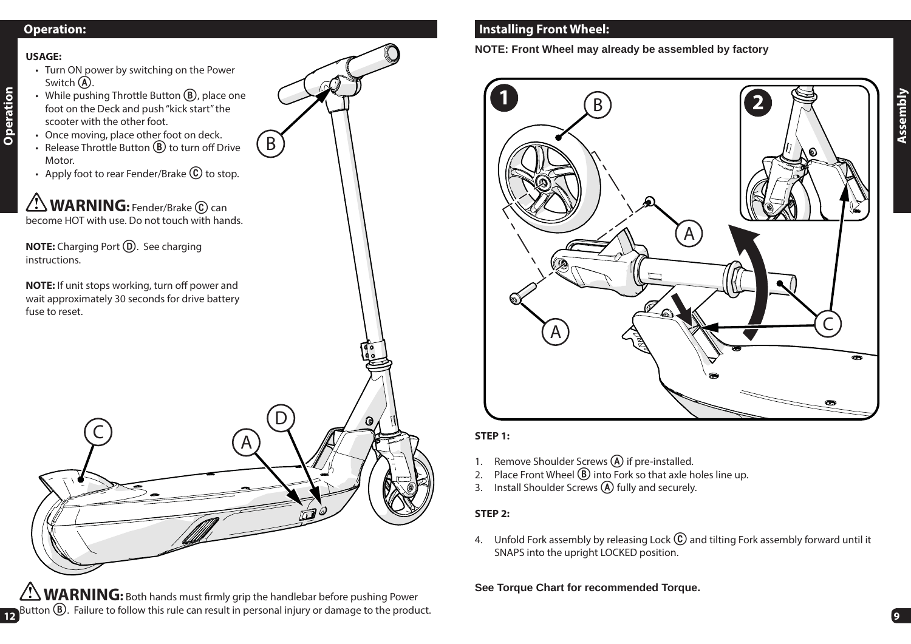## **Operation:**

#### **USAGE:**

**Operation**

- Turn ON power by switching on the Power Switch **A**.
- While pushing Throttle Button **B**, place one foot on the Deck and push "kick start" the scooter with the other foot.
- Once moving, place other foot on deck.
	- Release Throttle Button **B** to turn off Drive Motor.
	- Apply foot to rear Fender/Brake  $\circled{c}$  to stop.

**NOTE:** If unit stops working, turn off power and wait approximately 30 seconds for drive battery fuse to reset.



 $B$ 

WARNING: Both hands must firmly grip the handlebar before pushing Power Button **B**. Failure to follow this rule can result in personal injury or damage to the product. **<sup>9</sup>**

## **Installing Front Wheel:**

**NOTE: Front Wheel may already be assembled by factory**



#### **STEP 1:**

- 1. Remove Shoulder Screws **A** if pre-installed.
- 2. Place Front Wheel **B** into Fork so that axle holes line up.
- 3. Install Shoulder Screws **A** fully and securely.

#### **STEP 2:**

4. Unfold Fork assembly by releasing Lock **C** and tilting Fork assembly forward until it SNAPS into the upright LOCKED position.

#### **See Torque Chart for recommended Torque.**